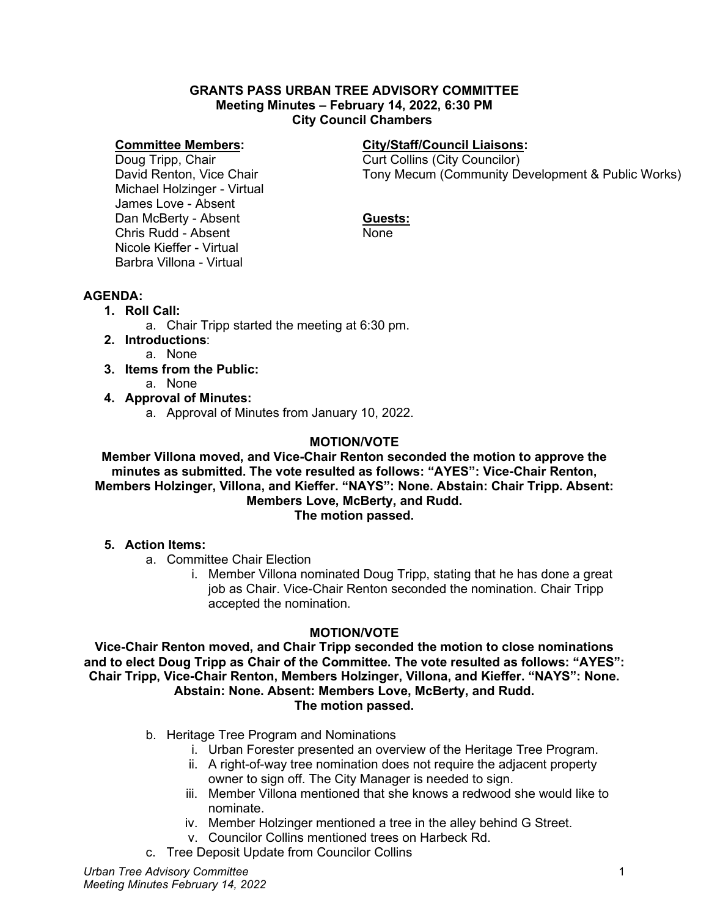#### **GRANTS PASS URBAN TREE ADVISORY COMMITTEE Meeting Minutes – February 14, 2022, 6:30 PM City Council Chambers**

#### **Committee Members:**

Doug Tripp, Chair David Renton, Vice Chair Michael Holzinger - Virtual James Love - Absent Dan McBerty - Absent Chris Rudd - Absent Nicole Kieffer - Virtual Barbra Villona - Virtual

### **City/Staff/Council Liaisons:**

Curt Collins (City Councilor) Tony Mecum (Community Development & Public Works)

### **Guests:**

None

### **AGENDA:**

- **1. Roll Call:**
	- a. Chair Tripp started the meeting at 6:30 pm.
- **2. Introductions**:
	- a. None
- **3. Items from the Public:** 
	- a. None
- **4. Approval of Minutes:**
	- a. Approval of Minutes from January 10, 2022.

### **MOTION/VOTE**

**Member Villona moved, and Vice-Chair Renton seconded the motion to approve the minutes as submitted. The vote resulted as follows: "AYES": Vice-Chair Renton, Members Holzinger, Villona, and Kieffer. "NAYS": None. Abstain: Chair Tripp. Absent: Members Love, McBerty, and Rudd. The motion passed.**

#### **5. Action Items:**

- a. Committee Chair Election
	- i. Member Villona nominated Doug Tripp, stating that he has done a great job as Chair. Vice-Chair Renton seconded the nomination. Chair Tripp accepted the nomination.

### **MOTION/VOTE**

**Vice-Chair Renton moved, and Chair Tripp seconded the motion to close nominations and to elect Doug Tripp as Chair of the Committee. The vote resulted as follows: "AYES": Chair Tripp, Vice-Chair Renton, Members Holzinger, Villona, and Kieffer. "NAYS": None. Abstain: None. Absent: Members Love, McBerty, and Rudd. The motion passed.**

- b. Heritage Tree Program and Nominations
	- i. Urban Forester presented an overview of the Heritage Tree Program.
	- ii. A right-of-way tree nomination does not require the adjacent property owner to sign off. The City Manager is needed to sign.
	- iii. Member Villona mentioned that she knows a redwood she would like to nominate.
	- iv. Member Holzinger mentioned a tree in the alley behind G Street.
	- v. Councilor Collins mentioned trees on Harbeck Rd.
- c. Tree Deposit Update from Councilor Collins

*Urban Tree Advisory Committee Meeting Minutes February 14, 2022*